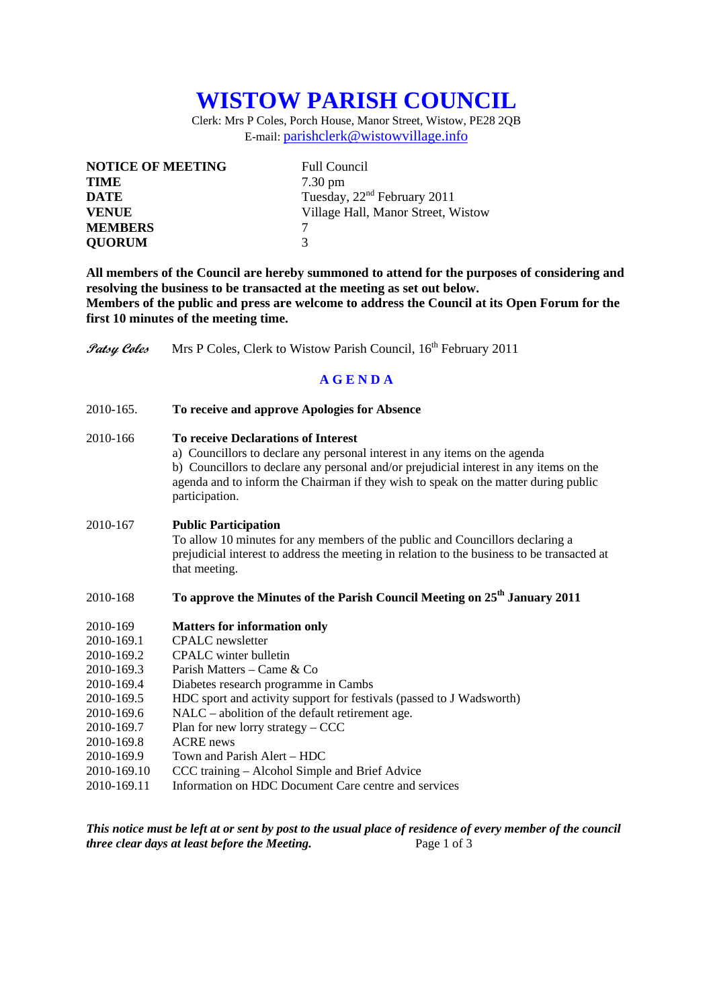# **WISTOW PARISH COUNCIL**

Clerk: Mrs P Coles, Porch House, Manor Street, Wistow, PE28 2QB E-mail: parishclerk@wistowvillage.info

| <b>NOTICE OF MEETING</b> | <b>Full Council</b>                     |
|--------------------------|-----------------------------------------|
| <b>TIME</b>              | $7.30 \text{ pm}$                       |
| <b>DATE</b>              | Tuesday, 22 <sup>nd</sup> February 2011 |
| <b>VENUE</b>             | Village Hall, Manor Street, Wistow      |
| <b>MEMBERS</b>           |                                         |
| <b>QUORUM</b>            | $\mathbf 3$                             |

**All members of the Council are hereby summoned to attend for the purposes of considering and resolving the business to be transacted at the meeting as set out below. Members of the public and press are welcome to address the Council at its Open Forum for the first 10 minutes of the meeting time.** 

**Patsy Coles** Mrs P Coles, Clerk to Wistow Parish Council, 16<sup>th</sup> February 2011 **A G E N D A**  2010-165. **To receive and approve Apologies for Absence**  2010-166 **To receive Declarations of Interest** a) Councillors to declare any personal interest in any items on the agenda b) Councillors to declare any personal and/or prejudicial interest in any items on the agenda and to inform the Chairman if they wish to speak on the matter during public participation. 2010-167 **Public Participation** To allow 10 minutes for any members of the public and Councillors declaring a prejudicial interest to address the meeting in relation to the business to be transacted at that meeting. 2010-168 **To approve the Minutes of the Parish Council Meeting on 25th January 2011**  2010-169 **Matters for information only**  2010-169.1 CPALC newsletter 2010-169.2 CPALC winter bulletin 2010-169.3 Parish Matters – Came & Co 2010-169.4 Diabetes research programme in Cambs 2010-169.5 HDC sport and activity support for festivals (passed to J Wadsworth) 2010-169.6 NALC – abolition of the default retirement age. 2010-169.7 Plan for new lorry strategy – CCC 2010-169.8 ACRE news 2010-169.9 Town and Parish Alert – HDC 2010-169.10 CCC training – Alcohol Simple and Brief Advice 2010-169.11 Information on HDC Document Care centre and services

*This notice must be left at or sent by post to the usual place of residence of every member of the council three clear days at least before the Meeting.* Page 1 of 3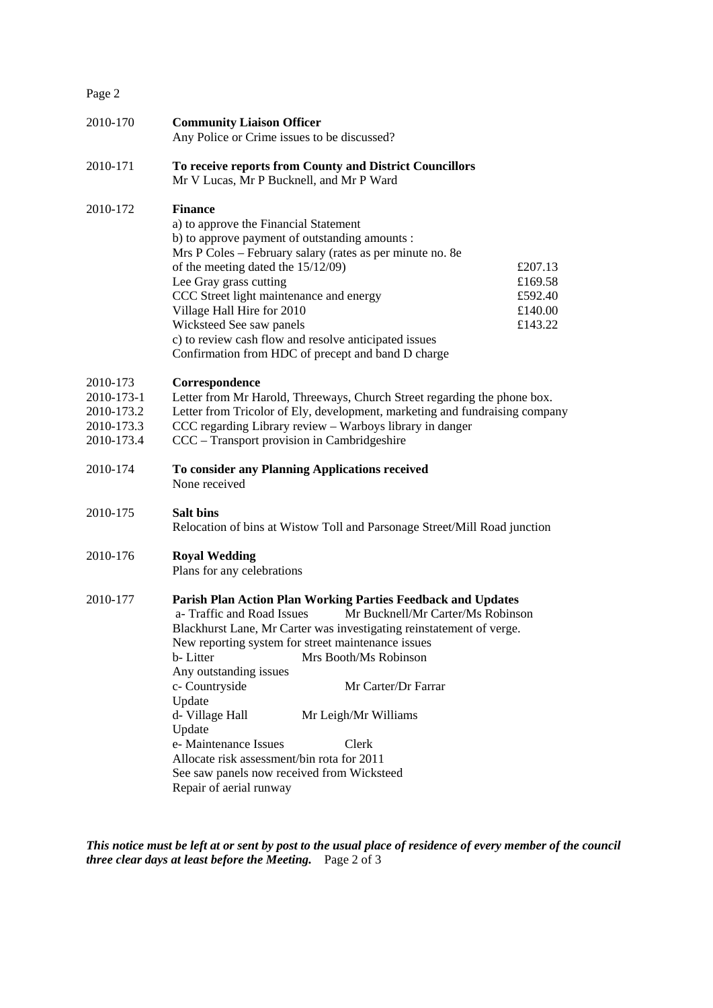Page 2

| 2010-170 | <b>Community Liaison Officer</b>            |  |
|----------|---------------------------------------------|--|
|          | Any Police or Crime issues to be discussed? |  |

2010-171 **To receive reports from County and District Councillors** Mr V Lucas, Mr P Bucknell, and Mr P Ward

## 2010-172 **Finance**

| a) to approve the Financial Statement                     |         |
|-----------------------------------------------------------|---------|
| b) to approve payment of outstanding amounts :            |         |
| Mrs P Coles – February salary (rates as per minute no. 8e |         |
| of the meeting dated the $15/12/09$ )                     | £207.13 |
| Lee Gray grass cutting                                    | £169.58 |
| CCC Street light maintenance and energy                   | £592.40 |
| Village Hall Hire for 2010                                | £140.00 |
| Wicksteed See saw panels                                  | £143.22 |
| c) to review cash flow and resolve anticipated issues     |         |
| Confirmation from HDC of precept and band D charge        |         |

#### 2010-173 **Correspondence**

- 2010-173-1 Letter from Mr Harold, Threeways, Church Street regarding the phone box.
- 2010-173.2 Letter from Tricolor of Ely, development, marketing and fundraising company
- 2010-173.3 CCC regarding Library review Warboys library in danger
- 2010-173.4 CCC Transport provision in Cambridgeshire
- 2010-174 **To consider any Planning Applications received**  None received

## 2010-175 **Salt bins**

Relocation of bins at Wistow Toll and Parsonage Street/Mill Road junction

## 2010-176 **Royal Wedding**

Plans for any celebrations

#### 2010-177 **Parish Plan Action Plan Working Parties Feedback and Updates**

 a- Traffic and Road Issues Mr Bucknell/Mr Carter/Ms Robinson Blackhurst Lane, Mr Carter was investigating reinstatement of verge. New reporting system for street maintenance issues b- Litter Mrs Booth/Ms Robinson Any outstanding issues c- Countryside Mr Carter/Dr Farrar Update<br>d- Village Hall Mr Leigh/Mr Williams Update e- Maintenance Issues Clerk Allocate risk assessment/bin rota for 2011 See saw panels now received from Wicksteed Repair of aerial runway

*This notice must be left at or sent by post to the usual place of residence of every member of the council three clear days at least before the Meeting.* Page 2 of 3